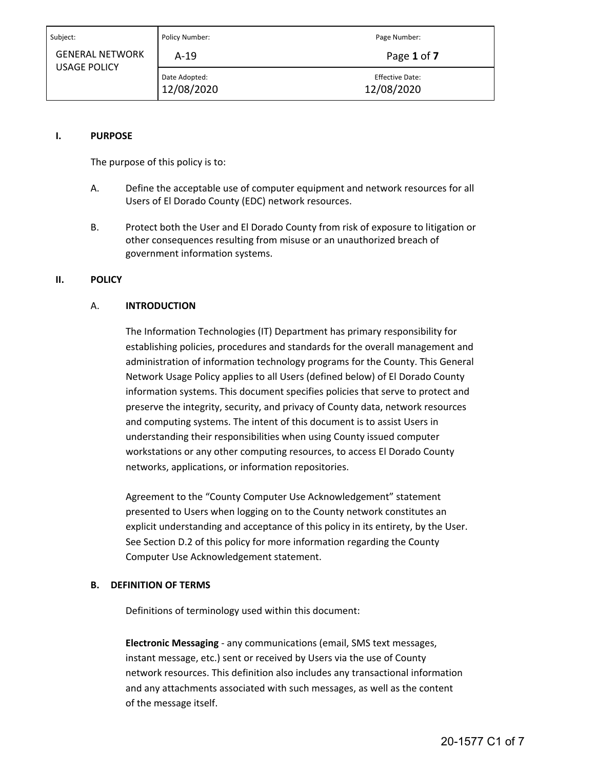A‐19 Page **1** of **7**

Date Adopted: The Contract of the Contract of the Effective Date: 12/08/2020 12/08/2020

### **I. PURPOSE**

The purpose of this policy is to:

- A. Define the acceptable use of computer equipment and network resources for all Users of El Dorado County (EDC) network resources.
- B. Protect both the User and El Dorado County from risk of exposure to litigation or other consequences resulting from misuse or an unauthorized breach of government information systems.

### **II. POLICY**

### A. **INTRODUCTION**

The Information Technologies (IT) Department has primary responsibility for establishing policies, procedures and standards for the overall management and administration of information technology programs for the County. This General Network Usage Policy applies to all Users (defined below) of El Dorado County information systems. This document specifies policies that serve to protect and preserve the integrity, security, and privacy of County data, network resources and computing systems. The intent of this document is to assist Users in understanding their responsibilities when using County issued computer workstations or any other computing resources, to access El Dorado County networks, applications, or information repositories.

Agreement to the "County Computer Use Acknowledgement" statement presented to Users when logging on to the County network constitutes an explicit understanding and acceptance of this policy in its entirety, by the User. See Section D.2 of this policy for more information regarding the County Computer Use Acknowledgement statement.

#### **B. DEFINITION OF TERMS**

Definitions of terminology used within this document:

**Electronic Messaging** ‐ any communications (email, SMS text messages, instant message, etc.) sent or received by Users via the use of County network resources. This definition also includes any transactional information and any attachments associated with such messages, as well as the content of the message itself.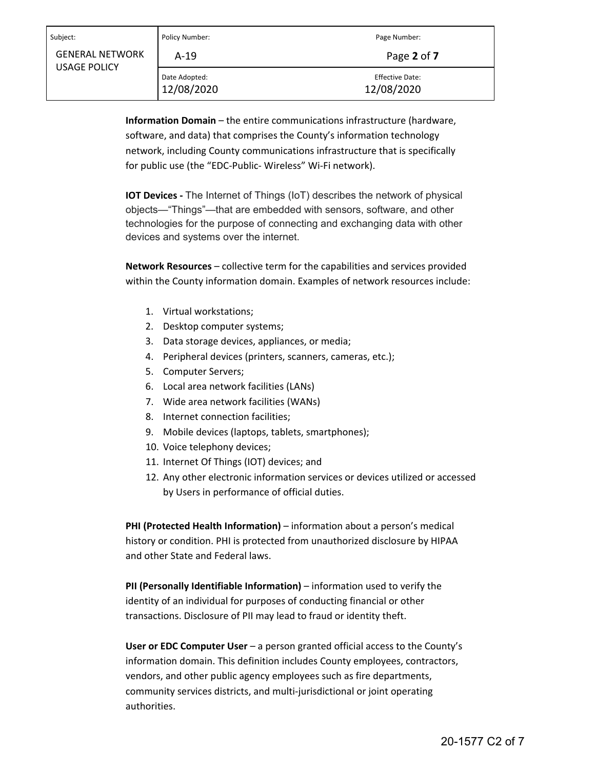Date Adopted: The Contract of the Contract of the Effective Date: 12/08/2020 12/08/2020

A‐19 Page **2** of **7**

**Information Domain** – the entire communications infrastructure (hardware, software, and data) that comprises the County's information technology network, including County communications infrastructure that is specifically for public use (the "EDC‐Public‐ Wireless" Wi‐Fi network).

**IOT Devices - The Internet of Things (IoT) describes the network of physical** objects—"Things"—that are embedded with sensors, software, and other technologies for the purpose of connecting and exchanging data with other devices and systems over the internet.

**Network Resources** – collective term for the capabilities and services provided within the County information domain. Examples of network resources include:

- 1. Virtual workstations;
- 2. Desktop computer systems;
- 3. Data storage devices, appliances, or media;
- 4. Peripheral devices (printers, scanners, cameras, etc.);
- 5. Computer Servers;
- 6. Local area network facilities (LANs)
- 7. Wide area network facilities (WANs)
- 8. Internet connection facilities;
- 9. Mobile devices (laptops, tablets, smartphones);
- 10. Voice telephony devices;
- 11. Internet Of Things (IOT) devices; and
- 12. Any other electronic information services or devices utilized or accessed by Users in performance of official duties.

**PHI (Protected Health Information)** – information about a person's medical history or condition. PHI is protected from unauthorized disclosure by HIPAA and other State and Federal laws.

**PII (Personally Identifiable Information)** – information used to verify the identity of an individual for purposes of conducting financial or other transactions. Disclosure of PII may lead to fraud or identity theft.

User or EDC Computer User – a person granted official access to the County's information domain. This definition includes County employees, contractors, vendors, and other public agency employees such as fire departments, community services districts, and multi‐jurisdictional or joint operating authorities.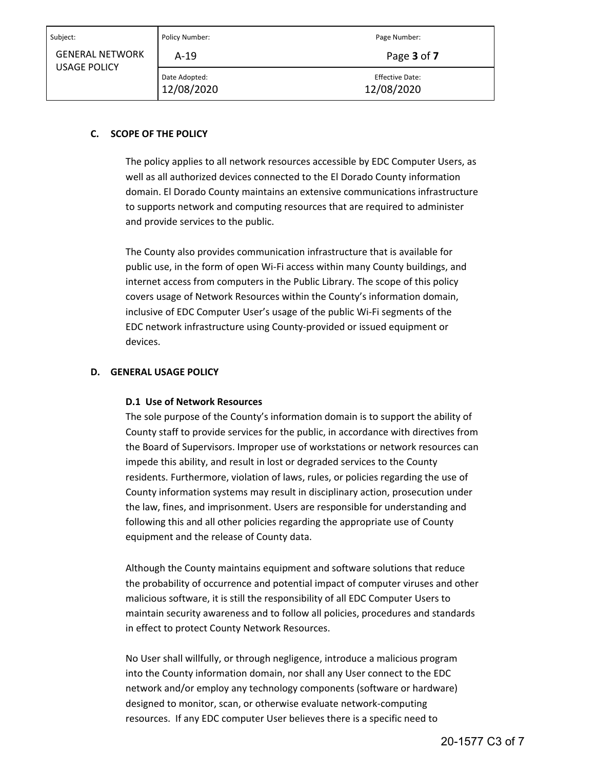Subject:

Policy Number: **Policy Number: Page Number:** 

GENERAL NETWORK USAGE POLICY

A‐19 Page **3** of **7**

Date Adopted: The Contract of the Contract of the Effective Date: 12/08/2020 12/08/2020

# **C. SCOPE OF THE POLICY**

The policy applies to all network resources accessible by EDC Computer Users, as well as all authorized devices connected to the El Dorado County information domain. El Dorado County maintains an extensive communications infrastructure to supports network and computing resources that are required to administer and provide services to the public.

The County also provides communication infrastructure that is available for public use, in the form of open Wi‐Fi access within many County buildings, and internet access from computers in the Public Library. The scope of this policy covers usage of Network Resources within the County's information domain, inclusive of EDC Computer User's usage of the public Wi‐Fi segments of the EDC network infrastructure using County‐provided or issued equipment or devices.

### **D. GENERAL USAGE POLICY**

#### **D.1 Use of Network Resources**

The sole purpose of the County's information domain is to support the ability of County staff to provide services for the public, in accordance with directives from the Board of Supervisors. Improper use of workstations or network resources can impede this ability, and result in lost or degraded services to the County residents. Furthermore, violation of laws, rules, or policies regarding the use of County information systems may result in disciplinary action, prosecution under the law, fines, and imprisonment. Users are responsible for understanding and following this and all other policies regarding the appropriate use of County equipment and the release of County data.

Although the County maintains equipment and software solutions that reduce the probability of occurrence and potential impact of computer viruses and other malicious software, it is still the responsibility of all EDC Computer Users to maintain security awareness and to follow all policies, procedures and standards in effect to protect County Network Resources.

No User shall willfully, or through negligence, introduce a malicious program into the County information domain, nor shall any User connect to the EDC network and/or employ any technology components (software or hardware) designed to monitor, scan, or otherwise evaluate network‐computing resources. If any EDC computer User believes there is a specific need to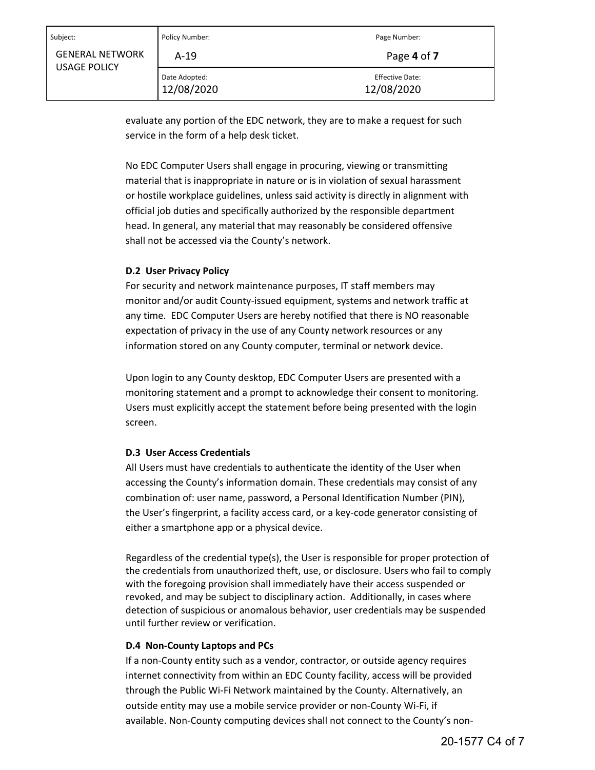Date Adopted: The Contract of the Contract of the Effective Date: 12/08/2020 12/08/2020

evaluate any portion of the EDC network, they are to make a request for such service in the form of a help desk ticket.

No EDC Computer Users shall engage in procuring, viewing or transmitting material that is inappropriate in nature or is in violation of sexual harassment or hostile workplace guidelines, unless said activity is directly in alignment with official job duties and specifically authorized by the responsible department head. In general, any material that may reasonably be considered offensive shall not be accessed via the County's network.

# **D.2 User Privacy Policy**

For security and network maintenance purposes, IT staff members may monitor and/or audit County‐issued equipment, systems and network traffic at any time. EDC Computer Users are hereby notified that there is NO reasonable expectation of privacy in the use of any County network resources or any information stored on any County computer, terminal or network device.

Upon login to any County desktop, EDC Computer Users are presented with a monitoring statement and a prompt to acknowledge their consent to monitoring. Users must explicitly accept the statement before being presented with the login screen.

### **D.3 User Access Credentials**

All Users must have credentials to authenticate the identity of the User when accessing the County's information domain. These credentials may consist of any combination of: user name, password, a Personal Identification Number (PIN), the User's fingerprint, a facility access card, or a key‐code generator consisting of either a smartphone app or a physical device.

Regardless of the credential type(s), the User is responsible for proper protection of the credentials from unauthorized theft, use, or disclosure. Users who fail to comply with the foregoing provision shall immediately have their access suspended or revoked, and may be subject to disciplinary action. Additionally, in cases where detection of suspicious or anomalous behavior, user credentials may be suspended until further review or verification.

### **D.4 Non‐County Laptops and PCs**

If a non‐County entity such as a vendor, contractor, or outside agency requires internet connectivity from within an EDC County facility, access will be provided through the Public Wi‐Fi Network maintained by the County. Alternatively, an outside entity may use a mobile service provider or non‐County Wi‐Fi, if available. Non‐County computing devices shall not connect to the County's non‐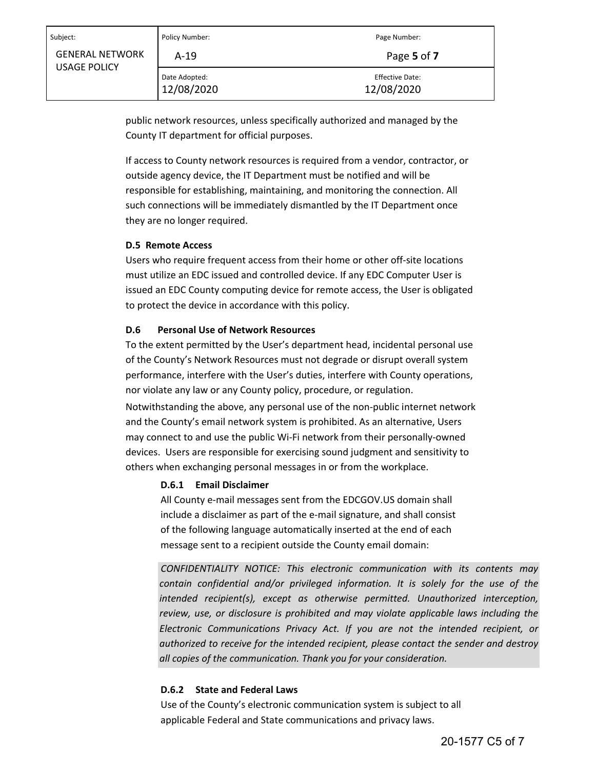Date Adopted: The Contract of the Contract of the Effective Date: 12/08/2020 12/08/2020

public network resources, unless specifically authorized and managed by the County IT department for official purposes.

If access to County network resources is required from a vendor, contractor, or outside agency device, the IT Department must be notified and will be responsible for establishing, maintaining, and monitoring the connection. All such connections will be immediately dismantled by the IT Department once they are no longer required.

# **D.5 Remote Access**

Users who require frequent access from their home or other off‐site locations must utilize an EDC issued and controlled device. If any EDC Computer User is issued an EDC County computing device for remote access, the User is obligated to protect the device in accordance with this policy.

# **D.6 Personal Use of Network Resources**

To the extent permitted by the User's department head, incidental personal use of the County's Network Resources must not degrade or disrupt overall system performance, interfere with the User's duties, interfere with County operations, nor violate any law or any County policy, procedure, or regulation.

Notwithstanding the above, any personal use of the non‐public internet network and the County's email network system is prohibited. As an alternative, Users may connect to and use the public Wi‐Fi network from their personally‐owned devices. Users are responsible for exercising sound judgment and sensitivity to others when exchanging personal messages in or from the workplace.

### **D.6.1 Email Disclaimer**

All County e-mail messages sent from the EDCGOV.US domain shall include a disclaimer as part of the e‐mail signature, and shall consist of the following language automatically inserted at the end of each message sent to a recipient outside the County email domain:

*CONFIDENTIALITY NOTICE: This electronic communication with its contents may contain confidential and/or privileged information. It is solely for the use of the intended recipient(s), except as otherwise permitted. Unauthorized interception, review, use, or disclosure is prohibited and may violate applicable laws including the Electronic Communications Privacy Act. If you are not the intended recipient, or authorized to receive for the intended recipient, please contact the sender and destroy all copies of the communication. Thank you for your consideration.*

### **D.6.2 State and Federal Laws**

Use of the County's electronic communication system is subject to all applicable Federal and State communications and privacy laws.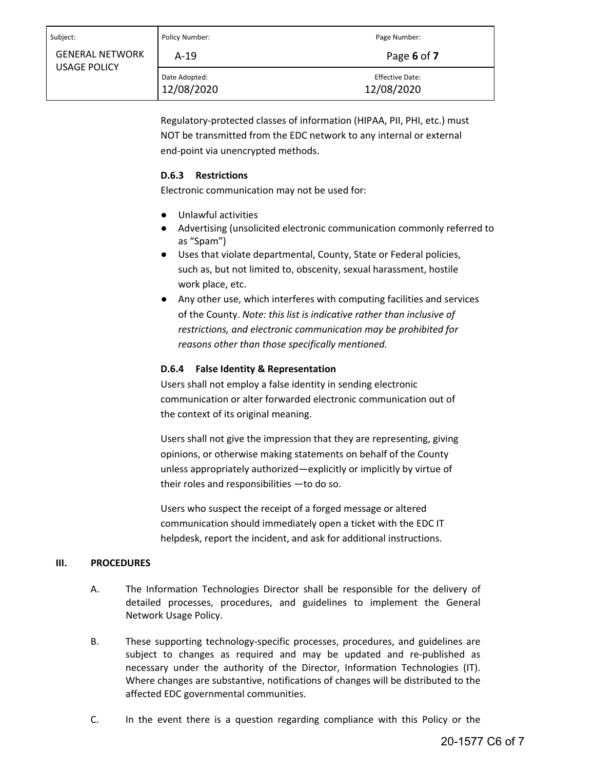| Subject:                                      | Policy Number:              | Page Number:                         |  |
|-----------------------------------------------|-----------------------------|--------------------------------------|--|
| <b>GENERAL NETWORK</b><br><b>USAGE POLICY</b> | $A-19$                      | Page 6 of 7                          |  |
|                                               | Date Adopted:<br>12/08/2020 | <b>Effective Date:</b><br>12/08/2020 |  |

Regulatory‐protected classes of information (HIPAA, PII, PHI, etc.) must NOT be transmitted from the EDC network to any internal or external end‐point via unencrypted methods.

# **D.6.3 Restrictions**

Electronic communication may not be used for:

- Unlawful activities
- Advertising (unsolicited electronic communication commonly referred to as "Spam")
- Uses that violate departmental, County, State or Federal policies, such as, but not limited to, obscenity, sexual harassment, hostile work place, etc.
- Any other use, which interferes with computing facilities and services of the County. *Note: this list is indicative rather than inclusive of restrictions, and electronic communication may be prohibited for reasons other than those specifically mentioned.*

# **D.6.4 False Identity & Representation**

Users shall not employ a false identity in sending electronic communication or alter forwarded electronic communication out of the context of its original meaning.

Users shall not give the impression that they are representing, giving opinions, or otherwise making statements on behalf of the County unless appropriately authorized—explicitly or implicitly by virtue of their roles and responsibilities —to do so.

Users who suspect the receipt of a forged message or altered communication should immediately open a ticket with the EDC IT helpdesk, report the incident, and ask for additional instructions.

### **III. PROCEDURES**

- A. The Information Technologies Director shall be responsible for the delivery of detailed processes, procedures, and guidelines to implement the General Network Usage Policy.
- B. These supporting technology-specific processes, procedures, and guidelines are subject to changes as required and may be updated and re‐published as necessary under the authority of the Director, Information Technologies (IT). Where changes are substantive, notifications of changes will be distributed to the affected EDC governmental communities.
- C. In the event there is a question regarding compliance with this Policy or the